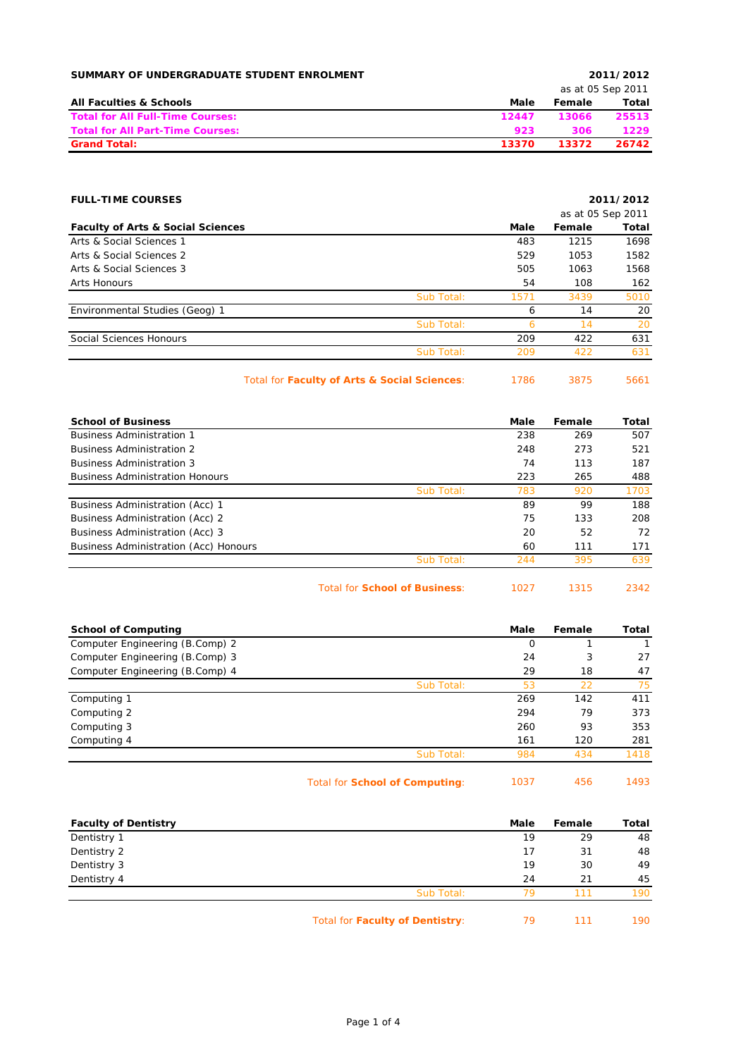| SUMMARY OF UNDERGRADUATE STUDENT ENROLMENT |       |        | 2011/2012         |
|--------------------------------------------|-------|--------|-------------------|
|                                            |       |        | as at 05 Sep 2011 |
| <b>All Faculties &amp; Schools</b>         | Male  | Female | Total             |
| <b>Total for All Full-Time Courses:</b>    | 12447 | 13066  | 25513             |
| <b>Total for All Part-Time Courses:</b>    | 923   | 306    | 1229              |
| <b>Grand Total:</b>                        | 13370 | 13372  | 26742             |

| <b>FULL-TIME COURSES</b>                     |            |      |                   | 2011/2012    |
|----------------------------------------------|------------|------|-------------------|--------------|
|                                              |            |      | as at 05 Sep 2011 |              |
| <b>Faculty of Arts &amp; Social Sciences</b> |            | Male | Female            | <b>Total</b> |
| Arts & Social Sciences 1                     |            | 483  | 1215              | 1698         |
| Arts & Social Sciences 2                     |            | 529  | 1053              | 1582         |
| Arts & Social Sciences 3                     |            | 505  | 1063              | 1568         |
| Arts Honours                                 |            | 54   | 108               | 162          |
|                                              | Sub Total: | 1571 | 3439              | 5010         |
| Environmental Studies (Geog) 1               |            | 6    | 14                | 20           |
|                                              | Sub Total: | 6    | 14                | 20           |
| Social Sciences Honours                      |            | 209  | 422               | 631          |
|                                              | Sub Total: | 209  | 422               | 631          |
|                                              |            |      |                   |              |

Total for **Faculty of Arts & Social Sciences**: 1786 3875 5661

| <b>School of Business</b>              |            | Male | Female | Total |
|----------------------------------------|------------|------|--------|-------|
| <b>Business Administration 1</b>       |            | 238  | 269    | 507   |
| <b>Business Administration 2</b>       |            | 248  | 273    | 521   |
| <b>Business Administration 3</b>       |            | 74   | 113    | 187   |
| <b>Business Administration Honours</b> |            | 223  | 265    | 488   |
|                                        | Sub Total: | 783  | 920    | 1703  |
| Business Administration (Acc) 1        |            | 89   | 99     | 188   |
| Business Administration (Acc) 2        |            | 75   | 133    | 208   |
| Business Administration (Acc) 3        |            | 20   | 52     | 72    |
| Business Administration (Acc) Honours  |            | 60   | 111    | 171   |
|                                        | Sub Total: | 244  | 395    | 639   |
|                                        |            |      |        |       |

Total for **School of Business**: 1027 1315 2342

| <b>School of Computing</b>      |            | Male | Female | Total |
|---------------------------------|------------|------|--------|-------|
| Computer Engineering (B.Comp) 2 |            | O    |        |       |
| Computer Engineering (B.Comp) 3 |            | 24   | 3      | 27    |
| Computer Engineering (B.Comp) 4 |            | 29   | 18     | 47    |
|                                 | Sub Total: | 53   | 22     | 75    |
| Computing 1                     |            | 269  | 142    | 411   |
| Computing 2                     |            | 294  | 79     | 373   |
| Computing 3                     |            | 260  | 93     | 353   |
| Computing 4                     |            | 161  | 120    | 281   |
|                                 | Sub Total: | 984  | 434    | 1418  |
|                                 |            |      |        |       |

| Total for School of Computing: | 1037 | -456 | 1493 |
|--------------------------------|------|------|------|
|--------------------------------|------|------|------|

| <b>Faculty of Dentistry</b> |                                 | Male | Female | Total |
|-----------------------------|---------------------------------|------|--------|-------|
| Dentistry 1                 |                                 | 19   | 29     | 48    |
| Dentistry 2                 |                                 | 17   | 31     | 48    |
| Dentistry 3                 |                                 | 19   | 30     | 49    |
| Dentistry 4                 |                                 | 24   | 21     | 45    |
|                             | Sub Total:                      | 79   | 111    | 190   |
|                             | Total for Faculty of Dentistry: | 79   | 111    | 190   |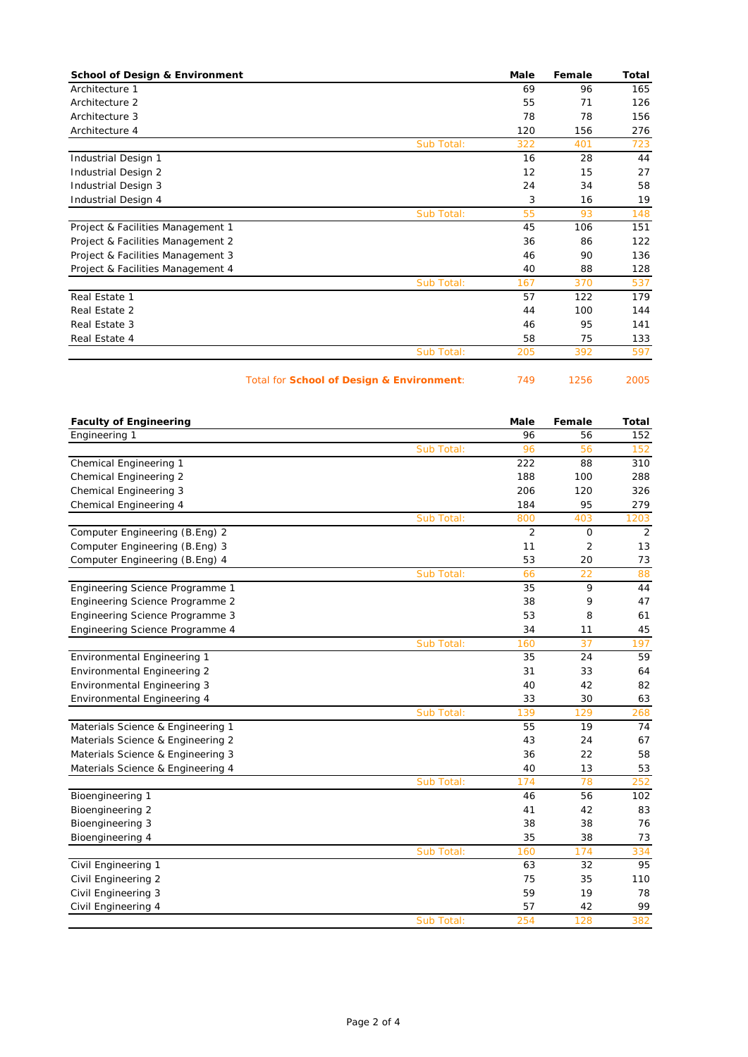| <b>School of Design &amp; Environment</b> | Male | Female | Total |
|-------------------------------------------|------|--------|-------|
| Architecture 1                            | 69   | 96     | 165   |
| Architecture 2                            | 55   | 71     | 126   |
| Architecture 3                            | 78   | 78     | 156   |
| Architecture 4                            | 120  | 156    | 276   |
| Sub Total:                                | 322  | 401    | 723   |
| Industrial Design 1                       | 16   | 28     | 44    |
| Industrial Design 2                       | 12   | 15     | 27    |
| Industrial Design 3                       | 24   | 34     | 58    |
| Industrial Design 4                       | 3    | 16     | 19    |
| Sub Total:                                | 55   | 93     | 148   |
| Project & Facilities Management 1         | 45   | 106    | 151   |
| Project & Facilities Management 2         | 36   | 86     | 122   |
| Project & Facilities Management 3         | 46   | 90     | 136   |
| Project & Facilities Management 4         | 40   | 88     | 128   |
| Sub Total:                                | 167  | 370    | 537   |
| Real Estate 1                             | 57   | 122    | 179   |
| Real Estate 2                             | 44   | 100    | 144   |
| Real Estate 3                             | 46   | 95     | 141   |
| Real Estate 4                             | 58   | 75     | 133   |
| Sub Total:                                | 205  | 392    | 597   |

## Total for **School of Design & Environment**: 749 1256 2005

| <b>Faculty of Engineering</b>      |            | Male | Female | <b>Total</b> |
|------------------------------------|------------|------|--------|--------------|
| Engineering 1                      |            | 96   | 56     | 152          |
|                                    | Sub Total: | 96   | 56     | 152          |
| Chemical Engineering 1             |            | 222  | 88     | 310          |
| Chemical Engineering 2             |            | 188  | 100    | 288          |
| Chemical Engineering 3             |            | 206  | 120    | 326          |
| Chemical Engineering 4             |            | 184  | 95     | 279          |
|                                    | Sub Total: | 800  | 403    | 1203         |
| Computer Engineering (B.Eng) 2     |            | 2    | 0      | 2            |
| Computer Engineering (B.Eng) 3     |            | 11   | 2      | 13           |
| Computer Engineering (B.Eng) 4     |            | 53   | 20     | 73           |
|                                    | Sub Total: | 66   | 22     | 88           |
| Engineering Science Programme 1    |            | 35   | 9      | 44           |
| Engineering Science Programme 2    |            | 38   | 9      | 47           |
| Engineering Science Programme 3    |            | 53   | 8      | 61           |
| Engineering Science Programme 4    |            | 34   | 11     | 45           |
|                                    | Sub Total: | 160  | 37     | 197          |
| Environmental Engineering 1        |            | 35   | 24     | 59           |
| Environmental Engineering 2        |            | 31   | 33     | 64           |
| <b>Environmental Engineering 3</b> |            | 40   | 42     | 82           |
| <b>Environmental Engineering 4</b> |            | 33   | 30     | 63           |
|                                    | Sub Total: | 139  | 129    | 268          |
| Materials Science & Engineering 1  |            | 55   | 19     | 74           |
| Materials Science & Engineering 2  |            | 43   | 24     | 67           |
| Materials Science & Engineering 3  |            | 36   | 22     | 58           |
| Materials Science & Engineering 4  |            | 40   | 13     | 53           |
|                                    | Sub Total: | 174  | 78     | 252          |
| Bioengineering 1                   |            | 46   | 56     | 102          |
| Bioengineering 2                   |            | 41   | 42     | 83           |
| Bioengineering 3                   |            | 38   | 38     | 76           |
| Bioengineering 4                   |            | 35   | 38     | 73           |
|                                    | Sub Total: | 160  | 174    | 334          |
| Civil Engineering 1                |            | 63   | 32     | 95           |
| Civil Engineering 2                |            | 75   | 35     | 110          |
| Civil Engineering 3                |            | 59   | 19     | 78           |
| Civil Engineering 4                |            | 57   | 42     | 99           |
|                                    | Sub Total: | 254  | 128    | 382          |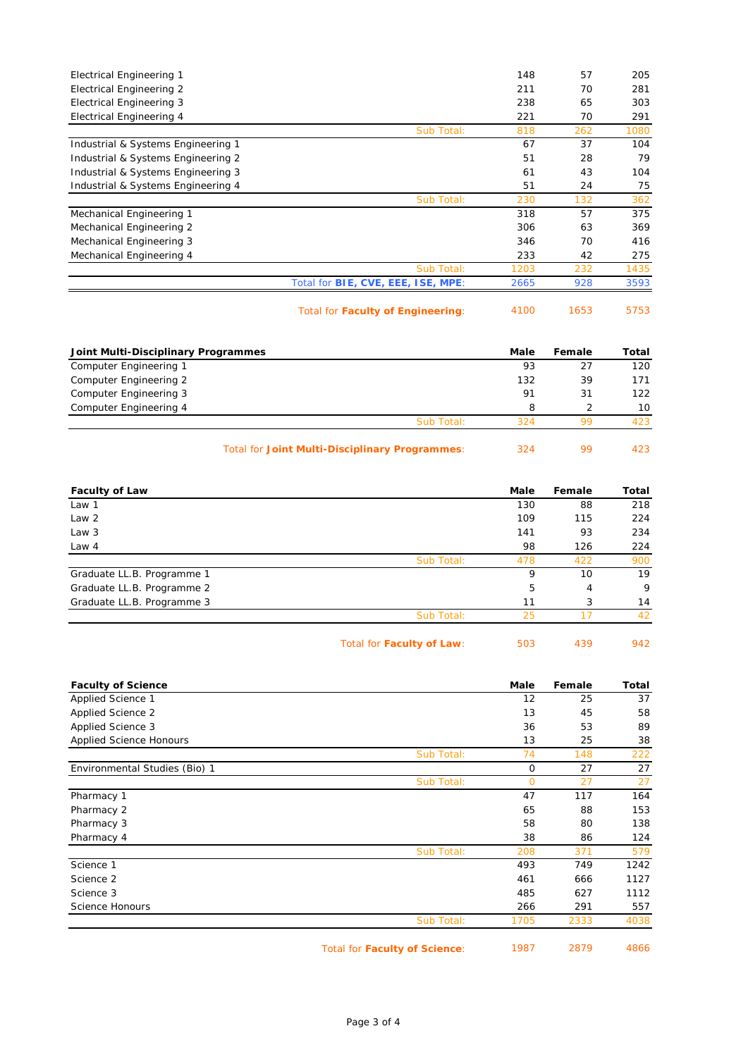| <b>Electrical Engineering 1</b>    |                                           | 148  | 57  | 205  |
|------------------------------------|-------------------------------------------|------|-----|------|
| <b>Electrical Engineering 2</b>    |                                           | 211  | 70  | 281  |
| <b>Electrical Engineering 3</b>    |                                           | 238  | 65  | 303  |
| Electrical Engineering 4           |                                           | 221  | 70  | 291  |
|                                    | Sub Total:                                | 818  | 262 | 1080 |
| Industrial & Systems Engineering 1 |                                           | 67   | 37  | 104  |
| Industrial & Systems Engineering 2 |                                           | 51   | 28  | 79   |
| Industrial & Systems Engineering 3 |                                           | 61   | 43  | 104  |
| Industrial & Systems Engineering 4 |                                           | 51   | 24  | 75   |
|                                    | Sub Total:                                | 230  | 132 | 362  |
| Mechanical Engineering 1           |                                           | 318  | 57  | 375  |
| Mechanical Engineering 2           |                                           | 306  | 63  | 369  |
| Mechanical Engineering 3           |                                           | 346  | 70  | 416  |
| Mechanical Engineering 4           |                                           | 233  | 42  | 275  |
|                                    | Sub Total:                                | 1203 | 232 | 1435 |
|                                    | Total for <b>BIE, CVE, EEE, ISE, MPE:</b> | 2665 | 928 | 3593 |
|                                    |                                           |      |     |      |

Total for **Faculty of Engineering**: 4100 1653 5753

| Joint Multi-Disciplinary Programmes |            | Male | Female | Total           |
|-------------------------------------|------------|------|--------|-----------------|
| Computer Engineering 1              |            | 93   | 27     | 120             |
| Computer Engineering 2              |            | 132  | 39     | 171             |
| Computer Engineering 3              |            | 91   | 31     | 122             |
| Computer Engineering 4              |            | 8    |        | 10 <sup>1</sup> |
|                                     | Sub Total: | 324  | 99     | 423             |
|                                     |            |      |        |                 |

Total for **Joint Multi-Disciplinary Programmes**: 324 99 423

| <b>Faculty of Law</b>      |            | Male | Female | Total |
|----------------------------|------------|------|--------|-------|
| Law 1                      |            | 130  | 88     | 218   |
| Law 2                      |            | 109  | 115    | 224   |
| Law 3                      |            | 141  | 93     | 234   |
| Law 4                      |            | 98   | 126    | 224   |
|                            | Sub Total: | 478  | 422    | 900   |
| Graduate LL.B. Programme 1 |            | 9    | 10     | 19    |
| Graduate LL.B. Programme 2 |            | 5    | 4      | 9     |
| Graduate LL.B. Programme 3 |            | 11   | 3      | 14    |
|                            | Sub Total: | 25   | 17     | 42    |
|                            |            |      |        |       |

| Total for Faculty of Law: | 503 | 439 | 942 |
|---------------------------|-----|-----|-----|
|---------------------------|-----|-----|-----|

| <b>Faculty of Science</b>      |            | Male     | Female | Total |
|--------------------------------|------------|----------|--------|-------|
| Applied Science 1              |            | 12       | 25     | 37    |
| Applied Science 2              |            | 13       | 45     | 58    |
| Applied Science 3              |            | 36       | 53     | 89    |
| <b>Applied Science Honours</b> |            | 13       | 25     | 38    |
|                                | Sub Total: | 74       | 148    | 222   |
| Environmental Studies (Bio) 1  |            | 0        | 27     | 27    |
|                                | Sub Total: | $\Omega$ | 27     | 27    |
| Pharmacy 1                     |            | 47       | 117    | 164   |
| Pharmacy 2                     |            | 65       | 88     | 153   |
| Pharmacy 3                     |            | 58       | 80     | 138   |
| Pharmacy 4                     |            | 38       | 86     | 124   |
|                                | Sub Total: | 208      | 371    | 579   |
| Science 1                      |            | 493      | 749    | 1242  |
| Science 2                      |            | 461      | 666    | 1127  |
| Science 3                      |            | 485      | 627    | 1112  |
| Science Honours                |            | 266      | 291    | 557   |
|                                | Sub Total: | 1705     | 2333   | 4038  |

Total for **Faculty of Science**: 1987 2879 4866